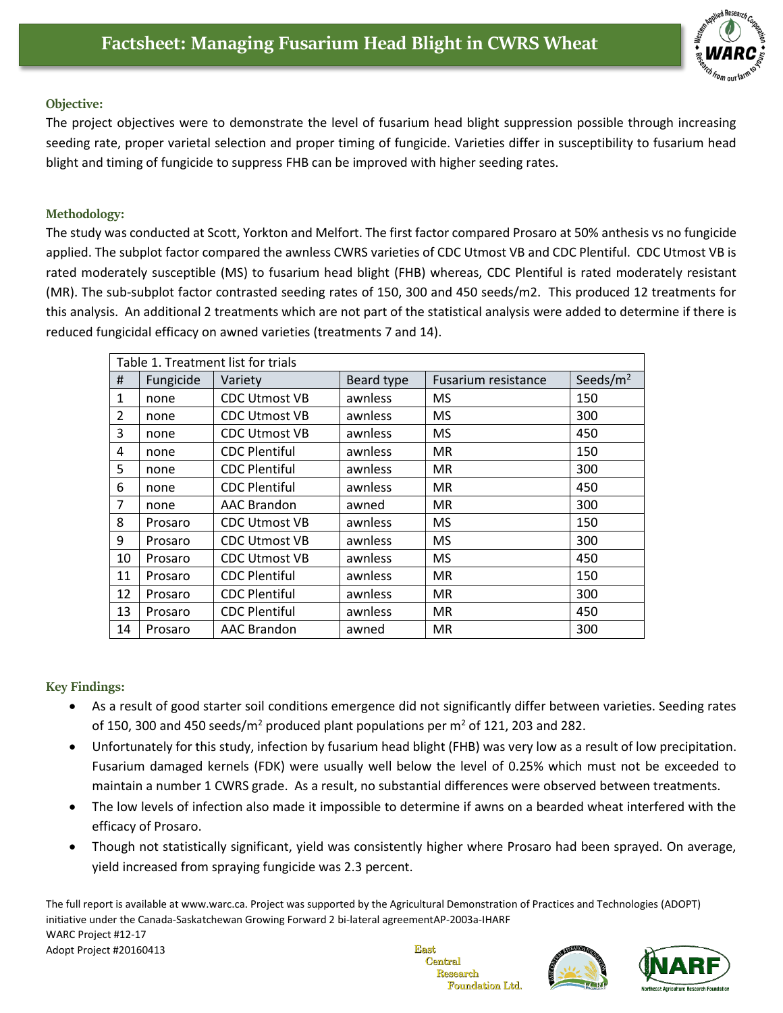

## **Objective:**

The project objectives were to demonstrate the level of fusarium head blight suppression possible through increasing seeding rate, proper varietal selection and proper timing of fungicide. Varieties differ in susceptibility to fusarium head blight and timing of fungicide to suppress FHB can be improved with higher seeding rates.

## **Methodology:**

The study was conducted at Scott, Yorkton and Melfort. The first factor compared Prosaro at 50% anthesis vs no fungicide applied. The subplot factor compared the awnless CWRS varieties of CDC Utmost VB and CDC Plentiful. CDC Utmost VB is rated moderately susceptible (MS) to fusarium head blight (FHB) whereas, CDC Plentiful is rated moderately resistant (MR). The sub-subplot factor contrasted seeding rates of 150, 300 and 450 seeds/m2. This produced 12 treatments for this analysis. An additional 2 treatments which are not part of the statistical analysis were added to determine if there is reduced fungicidal efficacy on awned varieties (treatments 7 and 14).

| Table 1. Treatment list for trials |           |                      |            |                     |             |  |  |  |
|------------------------------------|-----------|----------------------|------------|---------------------|-------------|--|--|--|
| #                                  | Fungicide | Variety              | Beard type | Fusarium resistance | Seeds/ $m2$ |  |  |  |
| 1                                  | none      | <b>CDC Utmost VB</b> | awnless    | <b>MS</b>           | 150         |  |  |  |
| 2                                  | none      | <b>CDC Utmost VB</b> | awnless    | <b>MS</b>           | 300         |  |  |  |
| 3                                  | none      | <b>CDC Utmost VB</b> | awnless    | <b>MS</b>           | 450         |  |  |  |
| 4                                  | none      | <b>CDC Plentiful</b> | awnless    | <b>MR</b>           | 150         |  |  |  |
| 5                                  | none      | <b>CDC Plentiful</b> | awnless    | <b>MR</b>           | 300         |  |  |  |
| 6                                  | none      | <b>CDC Plentiful</b> | awnless    | <b>MR</b>           | 450         |  |  |  |
| 7                                  | none      | <b>AAC Brandon</b>   | awned      | <b>MR</b>           | 300         |  |  |  |
| 8                                  | Prosaro   | <b>CDC Utmost VB</b> | awnless    | <b>MS</b>           | 150         |  |  |  |
| 9                                  | Prosaro   | <b>CDC Utmost VB</b> | awnless    | <b>MS</b>           | 300         |  |  |  |
| 10                                 | Prosaro   | <b>CDC Utmost VB</b> | awnless    | <b>MS</b>           | 450         |  |  |  |
| 11                                 | Prosaro   | <b>CDC Plentiful</b> | awnless    | <b>MR</b>           | 150         |  |  |  |
| 12                                 | Prosaro   | <b>CDC Plentiful</b> | awnless    | <b>MR</b>           | 300         |  |  |  |
| 13                                 | Prosaro   | <b>CDC Plentiful</b> | awnless    | <b>MR</b>           | 450         |  |  |  |
| 14                                 | Prosaro   | <b>AAC Brandon</b>   | awned      | <b>MR</b>           | 300         |  |  |  |

## **Key Findings:**

- As a result of good starter soil conditions emergence did not significantly differ between varieties. Seeding rates of 150, 300 and 450 seeds/ $m^2$  produced plant populations per  $m^2$  of 121, 203 and 282.
- Unfortunately for this study, infection by fusarium head blight (FHB) was very low as a result of low precipitation. Fusarium damaged kernels (FDK) were usually well below the level of 0.25% which must not be exceeded to maintain a number 1 CWRS grade. As a result, no substantial differences were observed between treatments.
- The low levels of infection also made it impossible to determine if awns on a bearded wheat interfered with the efficacy of Prosaro.
- Though not statistically significant, yield was consistently higher where Prosaro had been sprayed. On average, yield increased from spraying fungicide was 2.3 percent.

The full report is available at [www.warc.ca.](http://www.warc.ca/) Project was supported by the Agricultural Demonstration of Practices and Technologies (ADOPT) initiative under the Canada-Saskatchewan Growing Forward 2 bi-lateral agreementAP-2003a-IHARF WARC Project #12-17 Adopt Project #20160413 East